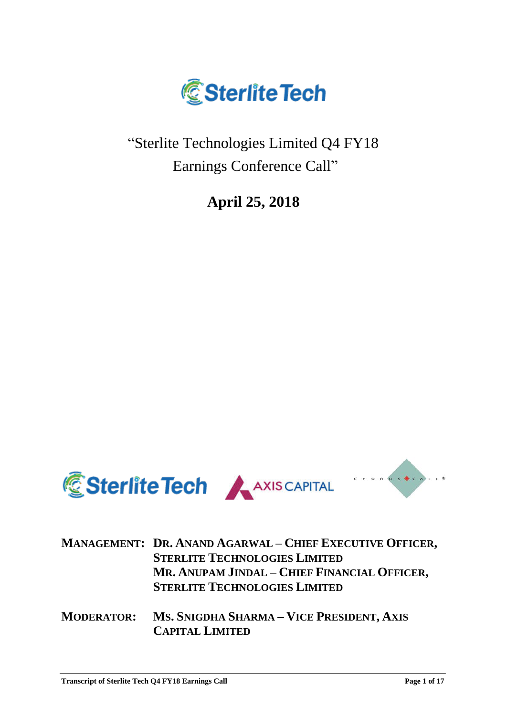

"Sterlite Technologies Limited Q4 FY18 Earnings Conference Call"

**April 25, 2018**



|  | MANAGEMENT: DR. ANAND AGARWAL - CHIEF EXECUTIVE OFFICER, |
|--|----------------------------------------------------------|
|  | <b>STERLITE TECHNOLOGIES LIMITED</b>                     |
|  | MR. ANUPAM JINDAL - CHIEF FINANCIAL OFFICER,             |
|  | <b>STERLITE TECHNOLOGIES LIMITED</b>                     |
|  |                                                          |

**MODERATOR: MS. SNIGDHA SHARMA – VICE PRESIDENT, AXIS CAPITAL LIMITED**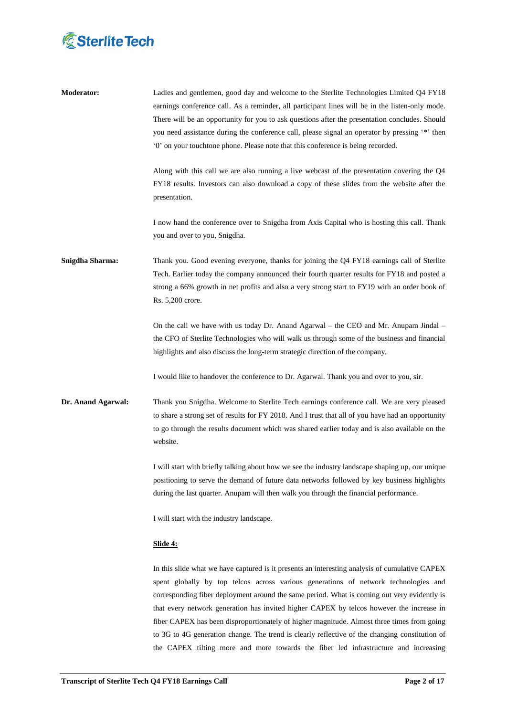

| <b>Moderator:</b>  | Ladies and gentlemen, good day and welcome to the Sterlite Technologies Limited Q4 FY18<br>earnings conference call. As a reminder, all participant lines will be in the listen-only mode.<br>There will be an opportunity for you to ask questions after the presentation concludes. Should<br>you need assistance during the conference call, please signal an operator by pressing '*' then<br>'0' on your touchtone phone. Please note that this conference is being recorded. |
|--------------------|------------------------------------------------------------------------------------------------------------------------------------------------------------------------------------------------------------------------------------------------------------------------------------------------------------------------------------------------------------------------------------------------------------------------------------------------------------------------------------|
|                    | Along with this call we are also running a live webcast of the presentation covering the $Q4$<br>FY18 results. Investors can also download a copy of these slides from the website after the<br>presentation.                                                                                                                                                                                                                                                                      |
|                    | I now hand the conference over to Snigdha from Axis Capital who is hosting this call. Thank<br>you and over to you, Snigdha.                                                                                                                                                                                                                                                                                                                                                       |
| Snigdha Sharma:    | Thank you. Good evening everyone, thanks for joining the Q4 FY18 earnings call of Sterlite<br>Tech. Earlier today the company announced their fourth quarter results for FY18 and posted a<br>strong a 66% growth in net profits and also a very strong start to FY19 with an order book of<br>Rs. 5,200 crore.                                                                                                                                                                    |
|                    | On the call we have with us today Dr. Anand Agarwal – the CEO and Mr. Anupam Jindal –<br>the CFO of Sterlite Technologies who will walk us through some of the business and financial<br>highlights and also discuss the long-term strategic direction of the company.                                                                                                                                                                                                             |
|                    | I would like to handover the conference to Dr. Agarwal. Thank you and over to you, sir.                                                                                                                                                                                                                                                                                                                                                                                            |
| Dr. Anand Agarwal: | Thank you Snigdha. Welcome to Sterlite Tech earnings conference call. We are very pleased<br>to share a strong set of results for FY 2018. And I trust that all of you have had an opportunity<br>to go through the results document which was shared earlier today and is also available on the<br>website.                                                                                                                                                                       |
|                    | I will start with briefly talking about how we see the industry landscape shaping up, our unique<br>positioning to serve the demand of future data networks followed by key business highlights<br>during the last quarter. Anupam will then walk you through the financial performance.                                                                                                                                                                                           |
|                    | I will start with the industry landscape.                                                                                                                                                                                                                                                                                                                                                                                                                                          |
|                    | <u>Slide 4:</u>                                                                                                                                                                                                                                                                                                                                                                                                                                                                    |
|                    | In this slide what we have captured is it presents an interesting analysis of cumulative CAPEX<br>spent globally by top telcos across various generations of network technologies and<br>corresponding fiber deployment around the same period. What is coming out very evidently is<br>that every network generation has invited higher CAPEX by telcos however the increase in<br>fiber CAPEX has been disproportionately of higher magnitude. Almost three times from going     |

to 3G to 4G generation change. The trend is clearly reflective of the changing constitution of the CAPEX tilting more and more towards the fiber led infrastructure and increasing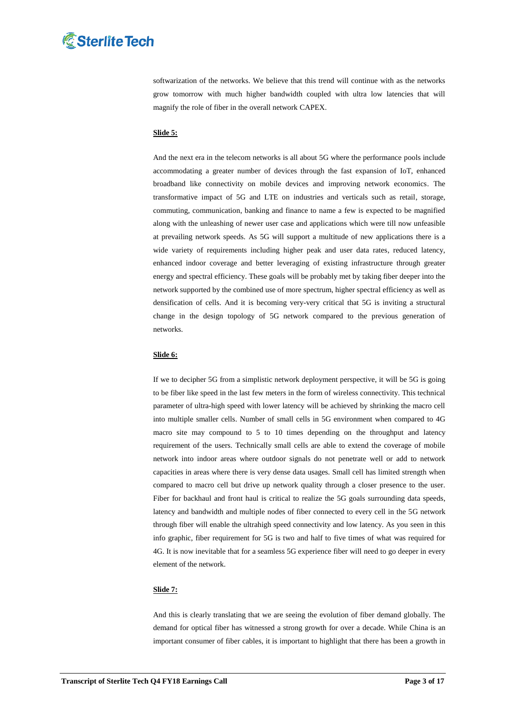

softwarization of the networks. We believe that this trend will continue with as the networks grow tomorrow with much higher bandwidth coupled with ultra low latencies that will magnify the role of fiber in the overall network CAPEX.

### **Slide 5:**

And the next era in the telecom networks is all about 5G where the performance pools include accommodating a greater number of devices through the fast expansion of IoT, enhanced broadband like connectivity on mobile devices and improving network economics. The transformative impact of 5G and LTE on industries and verticals such as retail, storage, commuting, communication, banking and finance to name a few is expected to be magnified along with the unleashing of newer user case and applications which were till now unfeasible at prevailing network speeds. As 5G will support a multitude of new applications there is a wide variety of requirements including higher peak and user data rates, reduced latency, enhanced indoor coverage and better leveraging of existing infrastructure through greater energy and spectral efficiency. These goals will be probably met by taking fiber deeper into the network supported by the combined use of more spectrum, higher spectral efficiency as well as densification of cells. And it is becoming very-very critical that 5G is inviting a structural change in the design topology of 5G network compared to the previous generation of networks.

### **Slide 6:**

If we to decipher 5G from a simplistic network deployment perspective, it will be 5G is going to be fiber like speed in the last few meters in the form of wireless connectivity. This technical parameter of ultra-high speed with lower latency will be achieved by shrinking the macro cell into multiple smaller cells. Number of small cells in 5G environment when compared to 4G macro site may compound to 5 to 10 times depending on the throughput and latency requirement of the users. Technically small cells are able to extend the coverage of mobile network into indoor areas where outdoor signals do not penetrate well or add to network capacities in areas where there is very dense data usages. Small cell has limited strength when compared to macro cell but drive up network quality through a closer presence to the user. Fiber for backhaul and front haul is critical to realize the 5G goals surrounding data speeds, latency and bandwidth and multiple nodes of fiber connected to every cell in the 5G network through fiber will enable the ultrahigh speed connectivity and low latency. As you seen in this info graphic, fiber requirement for 5G is two and half to five times of what was required for 4G. It is now inevitable that for a seamless 5G experience fiber will need to go deeper in every element of the network.

# **Slide 7:**

And this is clearly translating that we are seeing the evolution of fiber demand globally. The demand for optical fiber has witnessed a strong growth for over a decade. While China is an important consumer of fiber cables, it is important to highlight that there has been a growth in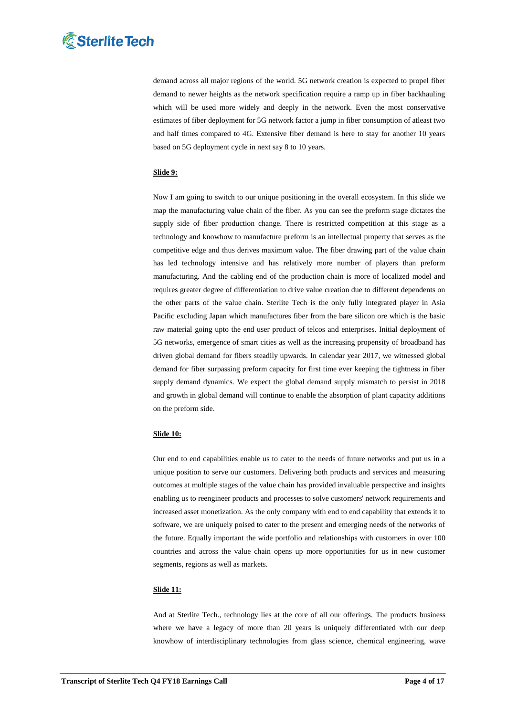

demand across all major regions of the world. 5G network creation is expected to propel fiber demand to newer heights as the network specification require a ramp up in fiber backhauling which will be used more widely and deeply in the network. Even the most conservative estimates of fiber deployment for 5G network factor a jump in fiber consumption of atleast two and half times compared to 4G. Extensive fiber demand is here to stay for another 10 years based on 5G deployment cycle in next say 8 to 10 years.

# **Slide 9:**

Now I am going to switch to our unique positioning in the overall ecosystem. In this slide we map the manufacturing value chain of the fiber. As you can see the preform stage dictates the supply side of fiber production change. There is restricted competition at this stage as a technology and knowhow to manufacture preform is an intellectual property that serves as the competitive edge and thus derives maximum value. The fiber drawing part of the value chain has led technology intensive and has relatively more number of players than preform manufacturing. And the cabling end of the production chain is more of localized model and requires greater degree of differentiation to drive value creation due to different dependents on the other parts of the value chain. Sterlite Tech is the only fully integrated player in Asia Pacific excluding Japan which manufactures fiber from the bare silicon ore which is the basic raw material going upto the end user product of telcos and enterprises. Initial deployment of 5G networks, emergence of smart cities as well as the increasing propensity of broadband has driven global demand for fibers steadily upwards. In calendar year 2017, we witnessed global demand for fiber surpassing preform capacity for first time ever keeping the tightness in fiber supply demand dynamics. We expect the global demand supply mismatch to persist in 2018 and growth in global demand will continue to enable the absorption of plant capacity additions on the preform side.

# **Slide 10:**

Our end to end capabilities enable us to cater to the needs of future networks and put us in a unique position to serve our customers. Delivering both products and services and measuring outcomes at multiple stages of the value chain has provided invaluable perspective and insights enabling us to reengineer products and processes to solve customers' network requirements and increased asset monetization. As the only company with end to end capability that extends it to software, we are uniquely poised to cater to the present and emerging needs of the networks of the future. Equally important the wide portfolio and relationships with customers in over 100 countries and across the value chain opens up more opportunities for us in new customer segments, regions as well as markets.

### **Slide 11:**

And at Sterlite Tech., technology lies at the core of all our offerings. The products business where we have a legacy of more than 20 years is uniquely differentiated with our deep knowhow of interdisciplinary technologies from glass science, chemical engineering, wave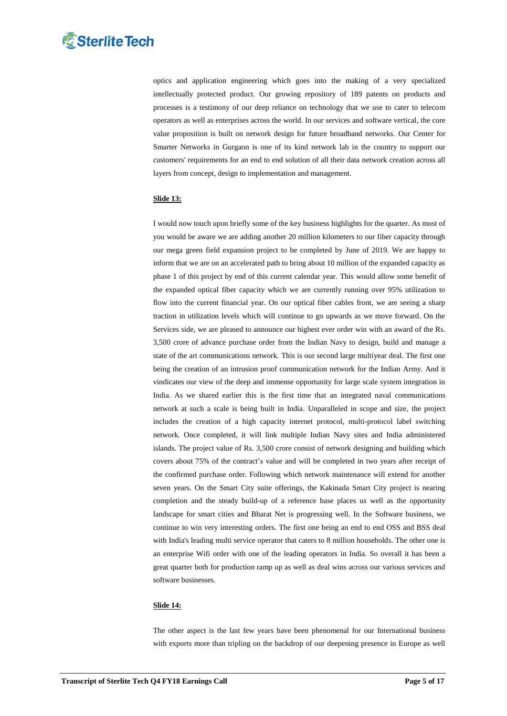

optics and application engineering which goes into the making of a very specialized intellectually protected product. Our growing repository of 189 patents on products and processes is a testimony of our deep reliance on technology that we use to cater to telecom operators as well as enterprises across the world. In our services and software vertical, the core value proposition is built on network design for future broadband networks. Our Center for Smarter Networks in Gurgaon is one of its kind network lab in the country to support our customers' requirements for an end to end solution of all their data network creation across all layers from concept, design to implementation and management.

### **Slide 13:**

I would now touch upon briefly some of the key business highlights for the quarter. As most of you would be aware we are adding another 20 million kilometers to our fiber capacity through our mega green field expansion project to be completed by June of 2019. We are happy to inform that we are on an accelerated path to bring about 10 million of the expanded capacity as phase 1 of this project by end of this current calendar year. This would allow some benefit of the expanded optical fiber capacity which we are currently running over 95% utilization to flow into the current financial year. On our optical fiber cables front, we are seeing a sharp traction in utilization levels which will continue to go upwards as we move forward. On the Services side, we are pleased to announce our highest ever order win with an award of the Rs. 3,500 crore of advance purchase order from the Indian Navy to design, build and manage a state of the art communications network. This is our second large multiyear deal. The first one being the creation of an intrusion proof communication network for the Indian Army. And it vindicates our view of the deep and immense opportunity for large scale system integration in India. As we shared earlier this is the first time that an integrated naval communications network at such a scale is being built in India. Unparalleled in scope and size, the project includes the creation of a high capacity internet protocol, multi-protocol label switching network. Once completed, it will link multiple Indian Navy sites and India administered islands. The project value of Rs. 3,500 crore consist of network designing and building which covers about 75% of the contract's value and will be completed in two years after receipt of the confirmed purchase order. Following which network maintenance will extend for another seven years. On the Smart City suite offerings, the Kakinada Smart City project is nearing completion and the steady build-up of a reference base places us well as the opportunity landscape for smart cities and Bharat Net is progressing well. In the Software business, we continue to win very interesting orders. The first one being an end to end OSS and BSS deal with India's leading multi service operator that caters to 8 million households. The other one is an enterprise Wifi order with one of the leading operators in India. So overall it has been a great quarter both for production ramp up as well as deal wins across our various services and software businesses.

### **Slide 14:**

The other aspect is the last few years have been phenomenal for our International business with exports more than tripling on the backdrop of our deepening presence in Europe as well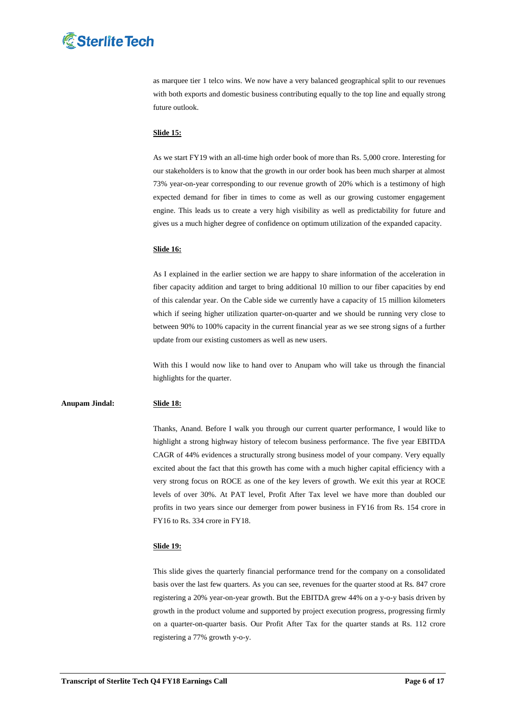# **& Sterlite Tech**

as marquee tier 1 telco wins. We now have a very balanced geographical split to our revenues with both exports and domestic business contributing equally to the top line and equally strong future outlook.

# **Slide 15:**

As we start FY19 with an all-time high order book of more than Rs. 5,000 crore. Interesting for our stakeholders is to know that the growth in our order book has been much sharper at almost 73% year-on-year corresponding to our revenue growth of 20% which is a testimony of high expected demand for fiber in times to come as well as our growing customer engagement engine. This leads us to create a very high visibility as well as predictability for future and gives us a much higher degree of confidence on optimum utilization of the expanded capacity.

### **Slide 16:**

As I explained in the earlier section we are happy to share information of the acceleration in fiber capacity addition and target to bring additional 10 million to our fiber capacities by end of this calendar year. On the Cable side we currently have a capacity of 15 million kilometers which if seeing higher utilization quarter-on-quarter and we should be running very close to between 90% to 100% capacity in the current financial year as we see strong signs of a further update from our existing customers as well as new users.

With this I would now like to hand over to Anupam who will take us through the financial highlights for the quarter.

# **Anupam Jindal: Slide 18:**

Thanks, Anand. Before I walk you through our current quarter performance, I would like to highlight a strong highway history of telecom business performance. The five year EBITDA CAGR of 44% evidences a structurally strong business model of your company. Very equally excited about the fact that this growth has come with a much higher capital efficiency with a very strong focus on ROCE as one of the key levers of growth. We exit this year at ROCE levels of over 30%. At PAT level, Profit After Tax level we have more than doubled our profits in two years since our demerger from power business in FY16 from Rs. 154 crore in FY16 to Rs. 334 crore in FY18.

# **Slide 19:**

This slide gives the quarterly financial performance trend for the company on a consolidated basis over the last few quarters. As you can see, revenues for the quarter stood at Rs. 847 crore registering a 20% year-on-year growth. But the EBITDA grew 44% on a y-o-y basis driven by growth in the product volume and supported by project execution progress, progressing firmly on a quarter-on-quarter basis. Our Profit After Tax for the quarter stands at Rs. 112 crore registering a 77% growth y-o-y.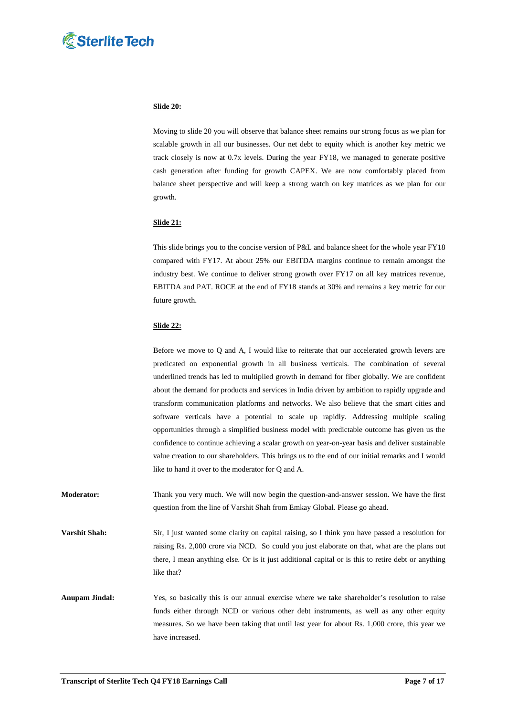

### **Slide 20:**

Moving to slide 20 you will observe that balance sheet remains our strong focus as we plan for scalable growth in all our businesses. Our net debt to equity which is another key metric we track closely is now at 0.7x levels. During the year FY18, we managed to generate positive cash generation after funding for growth CAPEX. We are now comfortably placed from balance sheet perspective and will keep a strong watch on key matrices as we plan for our growth.

# **Slide 21:**

This slide brings you to the concise version of P&L and balance sheet for the whole year FY18 compared with FY17. At about 25% our EBITDA margins continue to remain amongst the industry best. We continue to deliver strong growth over FY17 on all key matrices revenue, EBITDA and PAT. ROCE at the end of FY18 stands at 30% and remains a key metric for our future growth.

#### **Slide 22:**

Before we move to Q and A, I would like to reiterate that our accelerated growth levers are predicated on exponential growth in all business verticals. The combination of several underlined trends has led to multiplied growth in demand for fiber globally. We are confident about the demand for products and services in India driven by ambition to rapidly upgrade and transform communication platforms and networks. We also believe that the smart cities and software verticals have a potential to scale up rapidly. Addressing multiple scaling opportunities through a simplified business model with predictable outcome has given us the confidence to continue achieving a scalar growth on year-on-year basis and deliver sustainable value creation to our shareholders. This brings us to the end of our initial remarks and I would like to hand it over to the moderator for Q and A.

**Moderator:** Thank you very much. We will now begin the question-and-answer session. We have the first question from the line of Varshit Shah from Emkay Global. Please go ahead.

**Varshit Shah:** Sir, I just wanted some clarity on capital raising, so I think you have passed a resolution for raising Rs. 2,000 crore via NCD. So could you just elaborate on that, what are the plans out there, I mean anything else. Or is it just additional capital or is this to retire debt or anything like that?

**Anupam Jindal:** Yes, so basically this is our annual exercise where we take shareholder's resolution to raise funds either through NCD or various other debt instruments, as well as any other equity measures. So we have been taking that until last year for about Rs. 1,000 crore, this year we have increased.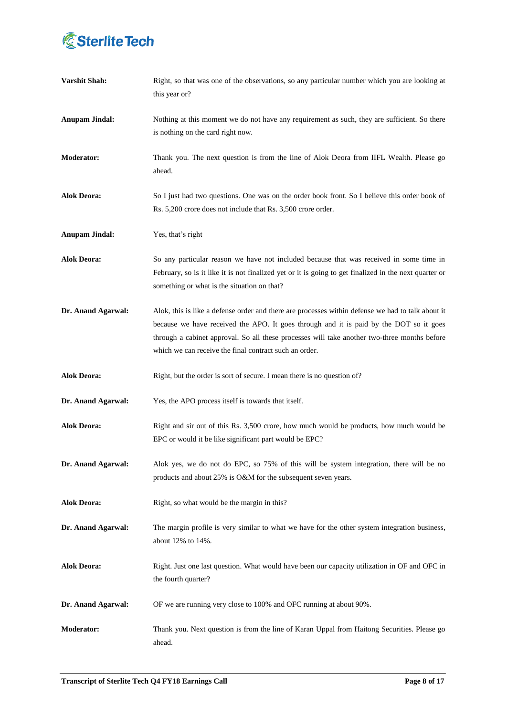

| <b>Varshit Shah:</b>  | Right, so that was one of the observations, so any particular number which you are looking at<br>this year or?                                                                                                                                                                                                                                        |
|-----------------------|-------------------------------------------------------------------------------------------------------------------------------------------------------------------------------------------------------------------------------------------------------------------------------------------------------------------------------------------------------|
| <b>Anupam Jindal:</b> | Nothing at this moment we do not have any requirement as such, they are sufficient. So there<br>is nothing on the card right now.                                                                                                                                                                                                                     |
| <b>Moderator:</b>     | Thank you. The next question is from the line of Alok Deora from IIFL Wealth. Please go<br>ahead.                                                                                                                                                                                                                                                     |
| <b>Alok Deora:</b>    | So I just had two questions. One was on the order book front. So I believe this order book of<br>Rs. 5,200 crore does not include that Rs. 3,500 crore order.                                                                                                                                                                                         |
| <b>Anupam Jindal:</b> | Yes, that's right                                                                                                                                                                                                                                                                                                                                     |
| <b>Alok Deora:</b>    | So any particular reason we have not included because that was received in some time in<br>February, so is it like it is not finalized yet or it is going to get finalized in the next quarter or<br>something or what is the situation on that?                                                                                                      |
| Dr. Anand Agarwal:    | Alok, this is like a defense order and there are processes within defense we had to talk about it<br>because we have received the APO. It goes through and it is paid by the DOT so it goes<br>through a cabinet approval. So all these processes will take another two-three months before<br>which we can receive the final contract such an order. |
| <b>Alok Deora:</b>    | Right, but the order is sort of secure. I mean there is no question of?                                                                                                                                                                                                                                                                               |
| Dr. Anand Agarwal:    | Yes, the APO process itself is towards that itself.                                                                                                                                                                                                                                                                                                   |
| <b>Alok Deora:</b>    | Right and sir out of this Rs. 3,500 crore, how much would be products, how much would be<br>EPC or would it be like significant part would be EPC?                                                                                                                                                                                                    |
| Dr. Anand Agarwal:    | Alok yes, we do not do EPC, so 75% of this will be system integration, there will be no<br>products and about 25% is O&M for the subsequent seven years.                                                                                                                                                                                              |
| <b>Alok Deora:</b>    | Right, so what would be the margin in this?                                                                                                                                                                                                                                                                                                           |
| Dr. Anand Agarwal:    | The margin profile is very similar to what we have for the other system integration business,<br>about 12% to 14%.                                                                                                                                                                                                                                    |
| <b>Alok Deora:</b>    | Right. Just one last question. What would have been our capacity utilization in OF and OFC in<br>the fourth quarter?                                                                                                                                                                                                                                  |
| Dr. Anand Agarwal:    | OF we are running very close to 100% and OFC running at about 90%.                                                                                                                                                                                                                                                                                    |
| Moderator:            | Thank you. Next question is from the line of Karan Uppal from Haitong Securities. Please go<br>ahead.                                                                                                                                                                                                                                                 |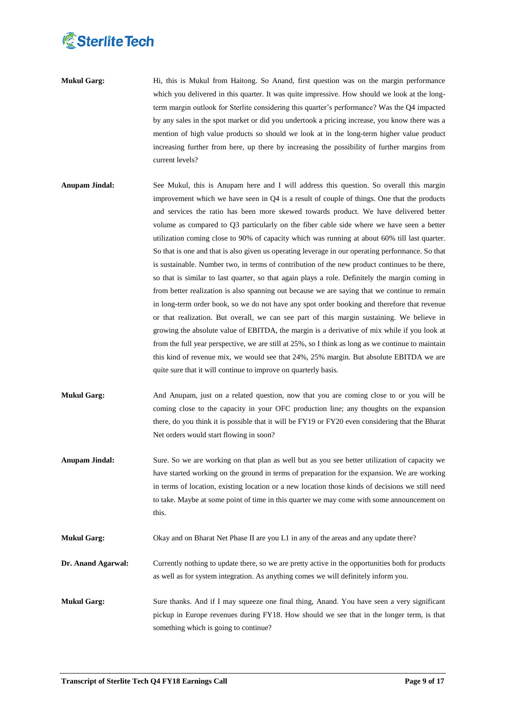

- **Mukul Garg:** Hi, this is Mukul from Haitong. So Anand, first question was on the margin performance which you delivered in this quarter. It was quite impressive. How should we look at the longterm margin outlook for Sterlite considering this quarter's performance? Was the Q4 impacted by any sales in the spot market or did you undertook a pricing increase, you know there was a mention of high value products so should we look at in the long-term higher value product increasing further from here, up there by increasing the possibility of further margins from current levels?
- **Anupam Jindal:** See Mukul, this is Anupam here and I will address this question. So overall this margin improvement which we have seen in Q4 is a result of couple of things. One that the products and services the ratio has been more skewed towards product. We have delivered better volume as compared to Q3 particularly on the fiber cable side where we have seen a better utilization coming close to 90% of capacity which was running at about 60% till last quarter. So that is one and that is also given us operating leverage in our operating performance. So that is sustainable. Number two, in terms of contribution of the new product continues to be there, so that is similar to last quarter, so that again plays a role. Definitely the margin coming in from better realization is also spanning out because we are saying that we continue to remain in long-term order book, so we do not have any spot order booking and therefore that revenue or that realization. But overall, we can see part of this margin sustaining. We believe in growing the absolute value of EBITDA, the margin is a derivative of mix while if you look at from the full year perspective, we are still at 25%, so I think as long as we continue to maintain this kind of revenue mix, we would see that 24%, 25% margin. But absolute EBITDA we are quite sure that it will continue to improve on quarterly basis.
- **Mukul Garg:** And Anupam, just on a related question, now that you are coming close to or you will be coming close to the capacity in your OFC production line; any thoughts on the expansion there, do you think it is possible that it will be FY19 or FY20 even considering that the Bharat Net orders would start flowing in soon?
- **Anupam Jindal:** Sure. So we are working on that plan as well but as you see better utilization of capacity we have started working on the ground in terms of preparation for the expansion. We are working in terms of location, existing location or a new location those kinds of decisions we still need to take. Maybe at some point of time in this quarter we may come with some announcement on this.
- **Mukul Garg:** Okay and on Bharat Net Phase II are you L1 in any of the areas and any update there?

**Dr. Anand Agarwal:** Currently nothing to update there, so we are pretty active in the opportunities both for products as well as for system integration. As anything comes we will definitely inform you.

**Mukul Garg:** Sure thanks. And if I may squeeze one final thing, Anand. You have seen a very significant pickup in Europe revenues during FY18. How should we see that in the longer term, is that something which is going to continue?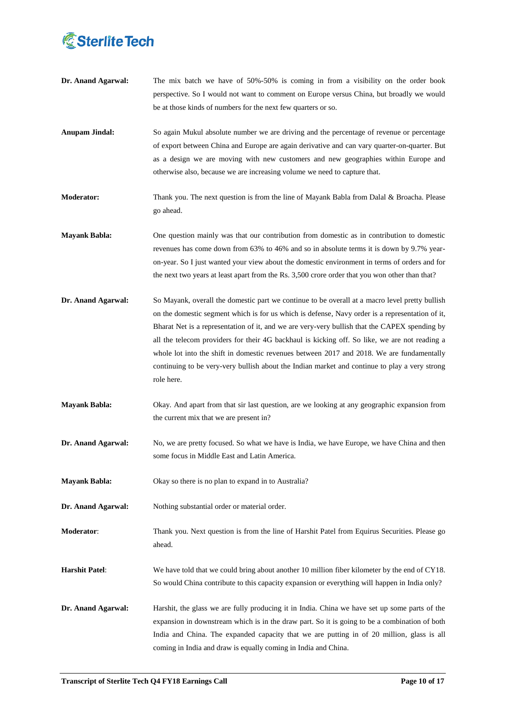

- **Dr. Anand Agarwal:** The mix batch we have of 50%-50% is coming in from a visibility on the order book perspective. So I would not want to comment on Europe versus China, but broadly we would be at those kinds of numbers for the next few quarters or so.
- **Anupam Jindal:** So again Mukul absolute number we are driving and the percentage of revenue or percentage of export between China and Europe are again derivative and can vary quarter-on-quarter. But as a design we are moving with new customers and new geographies within Europe and otherwise also, because we are increasing volume we need to capture that.
- **Moderator:** Thank you. The next question is from the line of Mayank Babla from Dalal & Broacha. Please go ahead.
- **Mayank Babla:** One question mainly was that our contribution from domestic as in contribution to domestic revenues has come down from 63% to 46% and so in absolute terms it is down by 9.7% yearon-year. So I just wanted your view about the domestic environment in terms of orders and for the next two years at least apart from the Rs. 3,500 crore order that you won other than that?
- **Dr. Anand Agarwal:** So Mayank, overall the domestic part we continue to be overall at a macro level pretty bullish on the domestic segment which is for us which is defense, Navy order is a representation of it, Bharat Net is a representation of it, and we are very-very bullish that the CAPEX spending by all the telecom providers for their 4G backhaul is kicking off. So like, we are not reading a whole lot into the shift in domestic revenues between 2017 and 2018. We are fundamentally continuing to be very-very bullish about the Indian market and continue to play a very strong role here.
- **Mayank Babla:** Okay. And apart from that sir last question, are we looking at any geographic expansion from the current mix that we are present in?
- **Dr. Anand Agarwal:** No, we are pretty focused. So what we have is India, we have Europe, we have China and then some focus in Middle East and Latin America.
- **Mayank Babla:** Okay so there is no plan to expand in to Australia?
- **Dr.** Anand Agarwal: Nothing substantial order or material order.
- **Moderator**: Thank you. Next question is from the line of Harshit Patel from Equirus Securities. Please go ahead.
- **Harshit Patel**: We have told that we could bring about another 10 million fiber kilometer by the end of CY18. So would China contribute to this capacity expansion or everything will happen in India only?
- **Dr. Anand Agarwal:** Harshit, the glass we are fully producing it in India. China we have set up some parts of the expansion in downstream which is in the draw part. So it is going to be a combination of both India and China. The expanded capacity that we are putting in of 20 million, glass is all coming in India and draw is equally coming in India and China.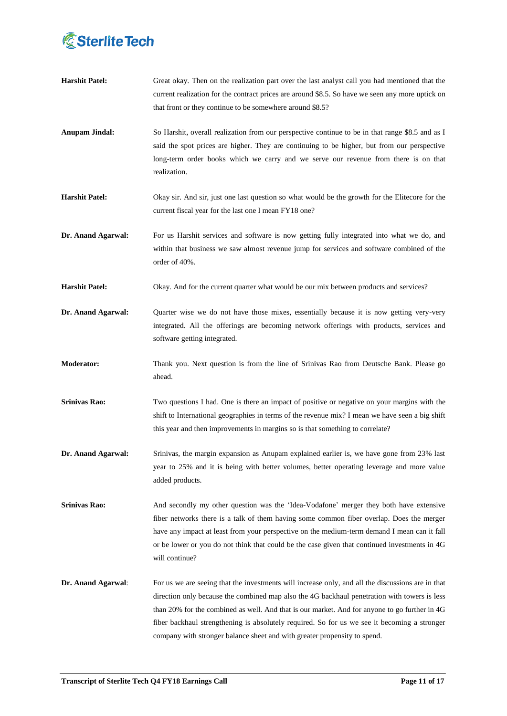

| <b>Harshit Patel:</b> | Great okay. Then on the realization part over the last analyst call you had mentioned that the<br>current realization for the contract prices are around \$8.5. So have we seen any more uptick on<br>that front or they continue to be somewhere around \$8.5?                                                                                                                                                                                                                 |
|-----------------------|---------------------------------------------------------------------------------------------------------------------------------------------------------------------------------------------------------------------------------------------------------------------------------------------------------------------------------------------------------------------------------------------------------------------------------------------------------------------------------|
| <b>Anupam Jindal:</b> | So Harshit, overall realization from our perspective continue to be in that range \$8.5 and as I<br>said the spot prices are higher. They are continuing to be higher, but from our perspective<br>long-term order books which we carry and we serve our revenue from there is on that<br>realization.                                                                                                                                                                          |
| <b>Harshit Patel:</b> | Okay sir. And sir, just one last question so what would be the growth for the Elitecore for the<br>current fiscal year for the last one I mean FY18 one?                                                                                                                                                                                                                                                                                                                        |
| Dr. Anand Agarwal:    | For us Harshit services and software is now getting fully integrated into what we do, and<br>within that business we saw almost revenue jump for services and software combined of the<br>order of 40%.                                                                                                                                                                                                                                                                         |
| <b>Harshit Patel:</b> | Okay. And for the current quarter what would be our mix between products and services?                                                                                                                                                                                                                                                                                                                                                                                          |
| Dr. Anand Agarwal:    | Quarter wise we do not have those mixes, essentially because it is now getting very-very<br>integrated. All the offerings are becoming network offerings with products, services and<br>software getting integrated.                                                                                                                                                                                                                                                            |
| Moderator:            | Thank you. Next question is from the line of Srinivas Rao from Deutsche Bank. Please go<br>ahead.                                                                                                                                                                                                                                                                                                                                                                               |
| <b>Srinivas Rao:</b>  | Two questions I had. One is there an impact of positive or negative on your margins with the<br>shift to International geographies in terms of the revenue mix? I mean we have seen a big shift<br>this year and then improvements in margins so is that something to correlate?                                                                                                                                                                                                |
| Dr. Anand Agarwal:    | Srinivas, the margin expansion as Anupam explained earlier is, we have gone from 23% last<br>year to 25% and it is being with better volumes, better operating leverage and more value<br>added products.                                                                                                                                                                                                                                                                       |
| <b>Srinivas Rao:</b>  | And secondly my other question was the 'Idea-Vodafone' merger they both have extensive<br>fiber networks there is a talk of them having some common fiber overlap. Does the merger<br>have any impact at least from your perspective on the medium-term demand I mean can it fall<br>or be lower or you do not think that could be the case given that continued investments in 4G<br>will continue?                                                                            |
| Dr. Anand Agarwal:    | For us we are seeing that the investments will increase only, and all the discussions are in that<br>direction only because the combined map also the 4G backhaul penetration with towers is less<br>than 20% for the combined as well. And that is our market. And for anyone to go further in 4G<br>fiber backhaul strengthening is absolutely required. So for us we see it becoming a stronger<br>company with stronger balance sheet and with greater propensity to spend. |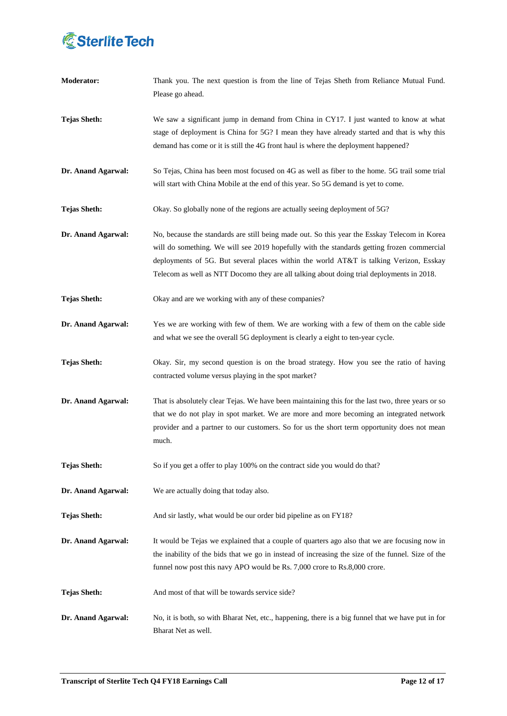

| <b>Moderator:</b>   | Thank you. The next question is from the line of Tejas Sheth from Reliance Mutual Fund.<br>Please go ahead.                                                                                                                                                                                                                                                                       |
|---------------------|-----------------------------------------------------------------------------------------------------------------------------------------------------------------------------------------------------------------------------------------------------------------------------------------------------------------------------------------------------------------------------------|
| <b>Tejas Sheth:</b> | We saw a significant jump in demand from China in CY17. I just wanted to know at what<br>stage of deployment is China for 5G? I mean they have already started and that is why this<br>demand has come or it is still the 4G front haul is where the deployment happened?                                                                                                         |
| Dr. Anand Agarwal:  | So Tejas, China has been most focused on 4G as well as fiber to the home. 5G trail some trial<br>will start with China Mobile at the end of this year. So 5G demand is yet to come.                                                                                                                                                                                               |
| <b>Tejas Sheth:</b> | Okay. So globally none of the regions are actually seeing deployment of 5G?                                                                                                                                                                                                                                                                                                       |
| Dr. Anand Agarwal:  | No, because the standards are still being made out. So this year the Esskay Telecom in Korea<br>will do something. We will see 2019 hopefully with the standards getting frozen commercial<br>deployments of 5G. But several places within the world AT&T is talking Verizon, Esskay<br>Telecom as well as NTT Docomo they are all talking about doing trial deployments in 2018. |
| <b>Tejas Sheth:</b> | Okay and are we working with any of these companies?                                                                                                                                                                                                                                                                                                                              |
| Dr. Anand Agarwal:  | Yes we are working with few of them. We are working with a few of them on the cable side<br>and what we see the overall 5G deployment is clearly a eight to ten-year cycle.                                                                                                                                                                                                       |
| <b>Tejas Sheth:</b> | Okay. Sir, my second question is on the broad strategy. How you see the ratio of having<br>contracted volume versus playing in the spot market?                                                                                                                                                                                                                                   |
| Dr. Anand Agarwal:  | That is absolutely clear Tejas. We have been maintaining this for the last two, three years or so<br>that we do not play in spot market. We are more and more becoming an integrated network<br>provider and a partner to our customers. So for us the short term opportunity does not mean<br>much.                                                                              |
| <b>Tejas Sheth:</b> | So if you get a offer to play 100% on the contract side you would do that?                                                                                                                                                                                                                                                                                                        |
| Dr. Anand Agarwal:  | We are actually doing that today also.                                                                                                                                                                                                                                                                                                                                            |
| <b>Tejas Sheth:</b> | And sir lastly, what would be our order bid pipeline as on FY18?                                                                                                                                                                                                                                                                                                                  |
| Dr. Anand Agarwal:  | It would be Tejas we explained that a couple of quarters ago also that we are focusing now in<br>the inability of the bids that we go in instead of increasing the size of the funnel. Size of the<br>funnel now post this navy APO would be Rs. 7,000 crore to Rs.8,000 crore.                                                                                                   |
| <b>Tejas Sheth:</b> | And most of that will be towards service side?                                                                                                                                                                                                                                                                                                                                    |
| Dr. Anand Agarwal:  | No, it is both, so with Bharat Net, etc., happening, there is a big funnel that we have put in for<br>Bharat Net as well.                                                                                                                                                                                                                                                         |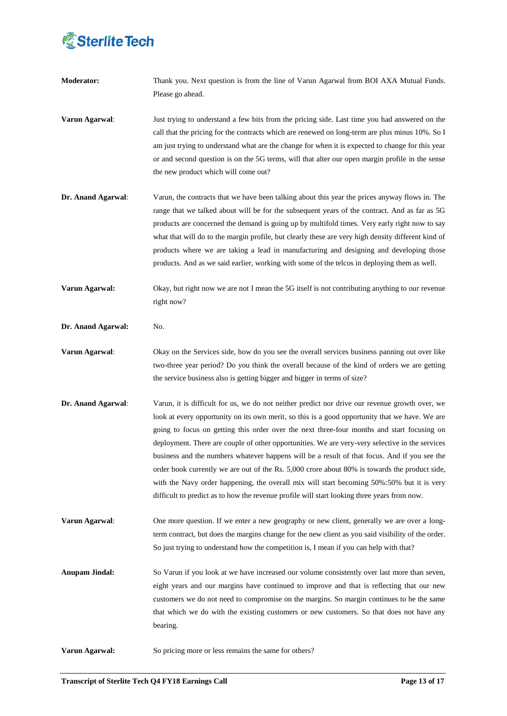

| <b>Moderator:</b>     | Thank you. Next question is from the line of Varun Agarwal from BOI AXA Mutual Funds.<br>Please go ahead.                                                                                                                                                                                                                                                                                                                                                                                                                                                                                                                                                                                                                                                                                      |
|-----------------------|------------------------------------------------------------------------------------------------------------------------------------------------------------------------------------------------------------------------------------------------------------------------------------------------------------------------------------------------------------------------------------------------------------------------------------------------------------------------------------------------------------------------------------------------------------------------------------------------------------------------------------------------------------------------------------------------------------------------------------------------------------------------------------------------|
| Varun Agarwal:        | Just trying to understand a few bits from the pricing side. Last time you had answered on the<br>call that the pricing for the contracts which are renewed on long-term are plus minus 10%. So I<br>am just trying to understand what are the change for when it is expected to change for this year<br>or and second question is on the 5G terms, will that alter our open margin profile in the sense<br>the new product which will come out?                                                                                                                                                                                                                                                                                                                                                |
| Dr. Anand Agarwal:    | Varun, the contracts that we have been talking about this year the prices anyway flows in. The<br>range that we talked about will be for the subsequent years of the contract. And as far as 5G<br>products are concerned the demand is going up by multifold times. Very early right now to say<br>what that will do to the margin profile, but clearly these are very high density different kind of<br>products where we are taking a lead in manufacturing and designing and developing those<br>products. And as we said earlier, working with some of the telcos in deploying them as well.                                                                                                                                                                                              |
| Varun Agarwal:        | Okay, but right now we are not I mean the 5G itself is not contributing anything to our revenue<br>right now?                                                                                                                                                                                                                                                                                                                                                                                                                                                                                                                                                                                                                                                                                  |
| Dr. Anand Agarwal:    | No.                                                                                                                                                                                                                                                                                                                                                                                                                                                                                                                                                                                                                                                                                                                                                                                            |
| Varun Agarwal:        | Okay on the Services side, how do you see the overall services business panning out over like<br>two-three year period? Do you think the overall because of the kind of orders we are getting<br>the service business also is getting bigger and bigger in terms of size?                                                                                                                                                                                                                                                                                                                                                                                                                                                                                                                      |
| Dr. Anand Agarwal:    | Varun, it is difficult for us, we do not neither predict nor drive our revenue growth over, we<br>look at every opportunity on its own merit, so this is a good opportunity that we have. We are<br>going to focus on getting this order over the next three-four months and start focusing on<br>deployment. There are couple of other opportunities. We are very-very selective in the services<br>business and the numbers whatever happens will be a result of that focus. And if you see the<br>order book currently we are out of the Rs. 5,000 crore about 80% is towards the product side,<br>with the Navy order happening, the overall mix will start becoming 50%:50% but it is very<br>difficult to predict as to how the revenue profile will start looking three years from now. |
| Varun Agarwal:        | One more question. If we enter a new geography or new client, generally we are over a long-<br>term contract, but does the margins change for the new client as you said visibility of the order.<br>So just trying to understand how the competition is, I mean if you can help with that?                                                                                                                                                                                                                                                                                                                                                                                                                                                                                                    |
| <b>Anupam Jindal:</b> | So Varun if you look at we have increased our volume consistently over last more than seven,<br>eight years and our margins have continued to improve and that is reflecting that our new<br>customers we do not need to compromise on the margins. So margin continues to be the same<br>that which we do with the existing customers or new customers. So that does not have any<br>bearing.                                                                                                                                                                                                                                                                                                                                                                                                 |
| Varun Agarwal:        | So pricing more or less remains the same for others?                                                                                                                                                                                                                                                                                                                                                                                                                                                                                                                                                                                                                                                                                                                                           |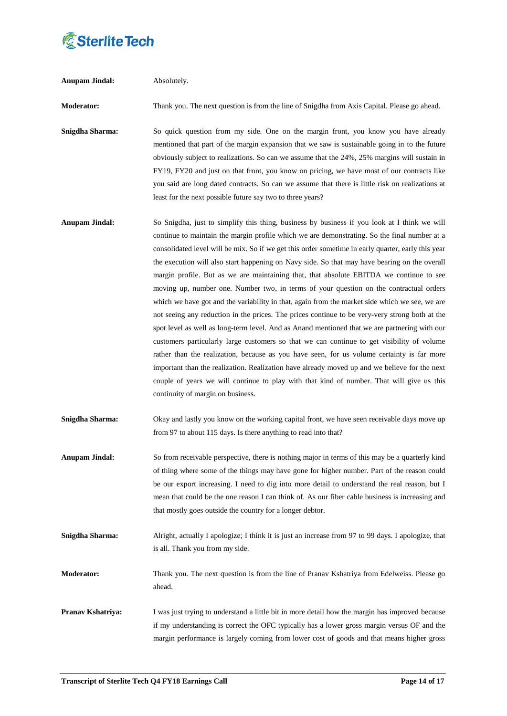

| <b>Anupam Jindal:</b> | Absolutely.                                                                                                                                                                                                                                                                                                                                                                                                                                                                                                                                                                                                                                                                                                                                                                                                                                                                                                                                                                                                                                                                                                                                                                                                                                                                                                                  |
|-----------------------|------------------------------------------------------------------------------------------------------------------------------------------------------------------------------------------------------------------------------------------------------------------------------------------------------------------------------------------------------------------------------------------------------------------------------------------------------------------------------------------------------------------------------------------------------------------------------------------------------------------------------------------------------------------------------------------------------------------------------------------------------------------------------------------------------------------------------------------------------------------------------------------------------------------------------------------------------------------------------------------------------------------------------------------------------------------------------------------------------------------------------------------------------------------------------------------------------------------------------------------------------------------------------------------------------------------------------|
| <b>Moderator:</b>     | Thank you. The next question is from the line of Snigdha from Axis Capital. Please go ahead.                                                                                                                                                                                                                                                                                                                                                                                                                                                                                                                                                                                                                                                                                                                                                                                                                                                                                                                                                                                                                                                                                                                                                                                                                                 |
| Snigdha Sharma:       | So quick question from my side. One on the margin front, you know you have already<br>mentioned that part of the margin expansion that we saw is sustainable going in to the future<br>obviously subject to realizations. So can we assume that the 24%, 25% margins will sustain in<br>FY19, FY20 and just on that front, you know on pricing, we have most of our contracts like<br>you said are long dated contracts. So can we assume that there is little risk on realizations at<br>least for the next possible future say two to three years?                                                                                                                                                                                                                                                                                                                                                                                                                                                                                                                                                                                                                                                                                                                                                                         |
| <b>Anupam Jindal:</b> | So Snigdha, just to simplify this thing, business by business if you look at I think we will<br>continue to maintain the margin profile which we are demonstrating. So the final number at a<br>consolidated level will be mix. So if we get this order sometime in early quarter, early this year<br>the execution will also start happening on Navy side. So that may have bearing on the overall<br>margin profile. But as we are maintaining that, that absolute EBITDA we continue to see<br>moving up, number one. Number two, in terms of your question on the contractual orders<br>which we have got and the variability in that, again from the market side which we see, we are<br>not seeing any reduction in the prices. The prices continue to be very-very strong both at the<br>spot level as well as long-term level. And as Anand mentioned that we are partnering with our<br>customers particularly large customers so that we can continue to get visibility of volume<br>rather than the realization, because as you have seen, for us volume certainty is far more<br>important than the realization. Realization have already moved up and we believe for the next<br>couple of years we will continue to play with that kind of number. That will give us this<br>continuity of margin on business. |
| Snigdha Sharma:       | Okay and lastly you know on the working capital front, we have seen receivable days move up<br>from 97 to about 115 days. Is there anything to read into that?                                                                                                                                                                                                                                                                                                                                                                                                                                                                                                                                                                                                                                                                                                                                                                                                                                                                                                                                                                                                                                                                                                                                                               |
| <b>Anupam Jindal:</b> | So from receivable perspective, there is nothing major in terms of this may be a quarterly kind<br>of thing where some of the things may have gone for higher number. Part of the reason could<br>be our export increasing. I need to dig into more detail to understand the real reason, but I<br>mean that could be the one reason I can think of. As our fiber cable business is increasing and<br>that mostly goes outside the country for a longer debtor.                                                                                                                                                                                                                                                                                                                                                                                                                                                                                                                                                                                                                                                                                                                                                                                                                                                              |
| Snigdha Sharma:       | Alright, actually I apologize; I think it is just an increase from 97 to 99 days. I apologize, that<br>is all. Thank you from my side.                                                                                                                                                                                                                                                                                                                                                                                                                                                                                                                                                                                                                                                                                                                                                                                                                                                                                                                                                                                                                                                                                                                                                                                       |
| Moderator:            | Thank you. The next question is from the line of Pranav Kshatriya from Edelweiss. Please go<br>ahead.                                                                                                                                                                                                                                                                                                                                                                                                                                                                                                                                                                                                                                                                                                                                                                                                                                                                                                                                                                                                                                                                                                                                                                                                                        |
| Pranav Kshatriya:     | I was just trying to understand a little bit in more detail how the margin has improved because<br>if my understanding is correct the OFC typically has a lower gross margin versus OF and the<br>margin performance is largely coming from lower cost of goods and that means higher gross                                                                                                                                                                                                                                                                                                                                                                                                                                                                                                                                                                                                                                                                                                                                                                                                                                                                                                                                                                                                                                  |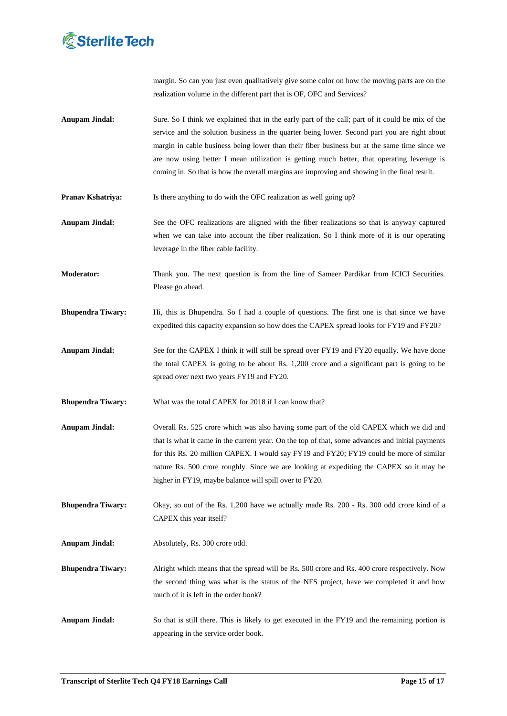

margin. So can you just even qualitatively give some color on how the moving parts are on the realization volume in the different part that is OF, OFC and Services?

- **Anupam Jindal:** Sure. So I think we explained that in the early part of the call; part of it could be mix of the service and the solution business in the quarter being lower. Second part you are right about margin in cable business being lower than their fiber business but at the same time since we are now using better I mean utilization is getting much better, that operating leverage is coming in. So that is how the overall margins are improving and showing in the final result.
- **Pranav Kshatriya:** Is there anything to do with the OFC realization as well going up?
- Anupam Jindal: See the OFC realizations are aligned with the fiber realizations so that is anyway captured when we can take into account the fiber realization. So I think more of it is our operating leverage in the fiber cable facility.
- **Moderator:** Thank you. The next question is from the line of Sameer Pardikar from ICICI Securities. Please go ahead.
- **Bhupendra Tiwary:** Hi, this is Bhupendra. So I had a couple of questions. The first one is that since we have expedited this capacity expansion so how does the CAPEX spread looks for FY19 and FY20?
- **Anupam Jindal:** See for the CAPEX I think it will still be spread over FY19 and FY20 equally. We have done the total CAPEX is going to be about Rs. 1,200 crore and a significant part is going to be spread over next two years FY19 and FY20.
- **Bhupendra Tiwary:** What was the total CAPEX for 2018 if I can know that?
- **Anupam Jindal:** Overall Rs. 525 crore which was also having some part of the old CAPEX which we did and that is what it came in the current year. On the top of that, some advances and initial payments for this Rs. 20 million CAPEX. I would say FY19 and FY20; FY19 could be more of similar nature Rs. 500 crore roughly. Since we are looking at expediting the CAPEX so it may be higher in FY19, maybe balance will spill over to FY20.

**Bhupendra Tiwary:** Okay, so out of the Rs. 1,200 have we actually made Rs. 200 - Rs. 300 odd crore kind of a CAPEX this year itself?

**Anupam Jindal:** Absolutely, Rs. 300 crore odd.

**Bhupendra Tiwary:** Alright which means that the spread will be Rs. 500 crore and Rs. 400 crore respectively. Now the second thing was what is the status of the NFS project, have we completed it and how much of it is left in the order book?

**Anupam Jindal:** So that is still there. This is likely to get executed in the FY19 and the remaining portion is appearing in the service order book.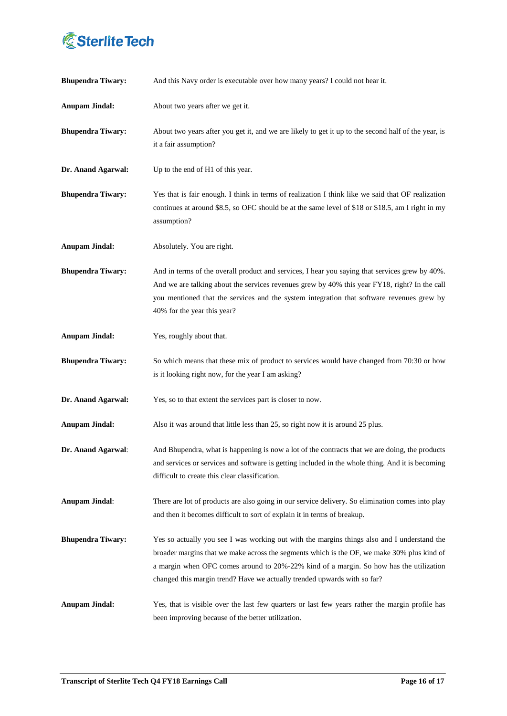

| <b>Bhupendra Tiwary:</b> | And this Navy order is executable over how many years? I could not hear it.                                                                                                                                                                                                                                                                                     |
|--------------------------|-----------------------------------------------------------------------------------------------------------------------------------------------------------------------------------------------------------------------------------------------------------------------------------------------------------------------------------------------------------------|
| <b>Anupam Jindal:</b>    | About two years after we get it.                                                                                                                                                                                                                                                                                                                                |
| <b>Bhupendra Tiwary:</b> | About two years after you get it, and we are likely to get it up to the second half of the year, is<br>it a fair assumption?                                                                                                                                                                                                                                    |
| Dr. Anand Agarwal:       | Up to the end of H1 of this year.                                                                                                                                                                                                                                                                                                                               |
| <b>Bhupendra Tiwary:</b> | Yes that is fair enough. I think in terms of realization I think like we said that OF realization<br>continues at around \$8.5, so OFC should be at the same level of \$18 or \$18.5, am I right in my<br>assumption?                                                                                                                                           |
| <b>Anupam Jindal:</b>    | Absolutely. You are right.                                                                                                                                                                                                                                                                                                                                      |
| <b>Bhupendra Tiwary:</b> | And in terms of the overall product and services, I hear you saying that services grew by 40%.<br>And we are talking about the services revenues grew by 40% this year FY18, right? In the call<br>you mentioned that the services and the system integration that software revenues grew by<br>40% for the year this year?                                     |
| <b>Anupam Jindal:</b>    | Yes, roughly about that.                                                                                                                                                                                                                                                                                                                                        |
| <b>Bhupendra Tiwary:</b> | So which means that these mix of product to services would have changed from 70:30 or how<br>is it looking right now, for the year I am asking?                                                                                                                                                                                                                 |
| Dr. Anand Agarwal:       | Yes, so to that extent the services part is closer to now.                                                                                                                                                                                                                                                                                                      |
| <b>Anupam Jindal:</b>    | Also it was around that little less than 25, so right now it is around 25 plus.                                                                                                                                                                                                                                                                                 |
| Dr. Anand Agarwal:       | And Bhupendra, what is happening is now a lot of the contracts that we are doing, the products<br>and services or services and software is getting included in the whole thing. And it is becoming<br>difficult to create this clear classification.                                                                                                            |
| <b>Anupam Jindal:</b>    | There are lot of products are also going in our service delivery. So elimination comes into play<br>and then it becomes difficult to sort of explain it in terms of breakup.                                                                                                                                                                                    |
| <b>Bhupendra Tiwary:</b> | Yes so actually you see I was working out with the margins things also and I understand the<br>broader margins that we make across the segments which is the OF, we make 30% plus kind of<br>a margin when OFC comes around to 20%-22% kind of a margin. So how has the utilization<br>changed this margin trend? Have we actually trended upwards with so far? |
| <b>Anupam Jindal:</b>    | Yes, that is visible over the last few quarters or last few years rather the margin profile has<br>been improving because of the better utilization.                                                                                                                                                                                                            |